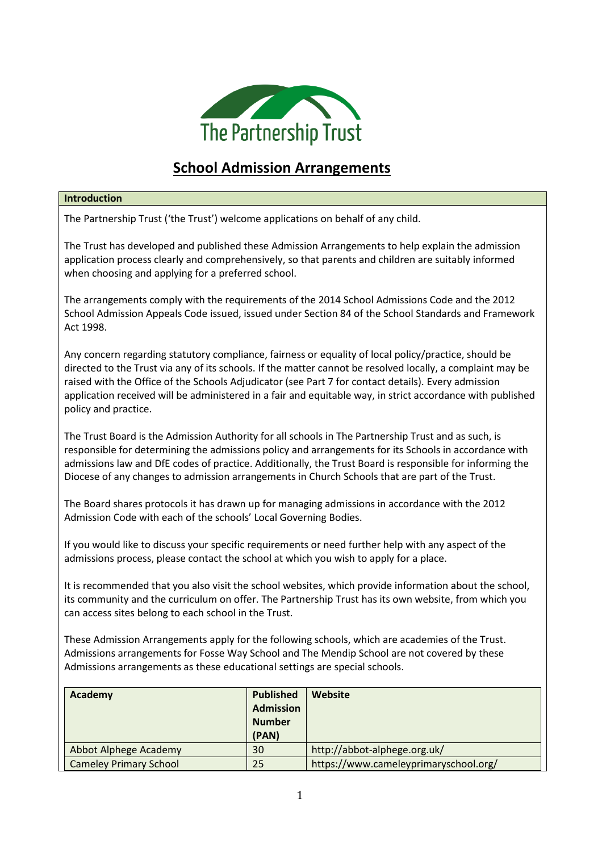

## **School Admission Arrangements**

## **Introduction**

The Partnership Trust ('the Trust') welcome applications on behalf of any child.

The Trust has developed and published these Admission Arrangements to help explain the admission application process clearly and comprehensively, so that parents and children are suitably informed when choosing and applying for a preferred school.

The arrangements comply with the requirements of the 2014 School Admissions Code and the 2012 School Admission Appeals Code issued, issued under Section 84 of the School Standards and Framework Act 1998.

Any concern regarding statutory compliance, fairness or equality of local policy/practice, should be directed to the Trust via any of its schools. If the matter cannot be resolved locally, a complaint may be raised with the Office of the Schools Adjudicator (see Part 7 for contact details). Every admission application received will be administered in a fair and equitable way, in strict accordance with published policy and practice.

The Trust Board is the Admission Authority for all schools in The Partnership Trust and as such, is responsible for determining the admissions policy and arrangements for its Schools in accordance with admissions law and DfE codes of practice. Additionally, the Trust Board is responsible for informing the Diocese of any changes to admission arrangements in Church Schools that are part of the Trust.

The Board shares protocols it has drawn up for managing admissions in accordance with the 2012 Admission Code with each of the schools' Local Governing Bodies.

If you would like to discuss your specific requirements or need further help with any aspect of the admissions process, please contact the school at which you wish to apply for a place.

It is recommended that you also visit the school websites, which provide information about the school, its community and the curriculum on offer. The Partnership Trust has its own website, from which you can access sites belong to each school in the Trust.

These Admission Arrangements apply for the following schools, which are academies of the Trust. Admissions arrangements for Fosse Way School and The Mendip School are not covered by these Admissions arrangements as these educational settings are special schools.

| Academy                       | <b>Published</b><br><b>Admission</b><br><b>Number</b><br>(PAN) | Website                               |
|-------------------------------|----------------------------------------------------------------|---------------------------------------|
| Abbot Alphege Academy         | 30                                                             | http://abbot-alphege.org.uk/          |
| <b>Cameley Primary School</b> | 25                                                             | https://www.cameleyprimaryschool.org/ |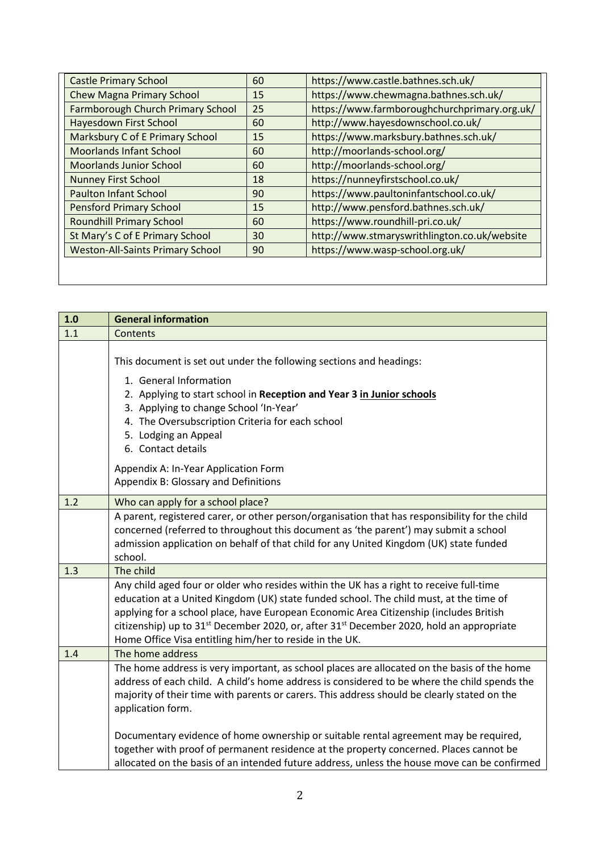| <b>Castle Primary School</b>            | 60 | https://www.castle.bathnes.sch.uk/           |
|-----------------------------------------|----|----------------------------------------------|
| Chew Magna Primary School               | 15 | https://www.chewmagna.bathnes.sch.uk/        |
| Farmborough Church Primary School       | 25 | https://www.farmboroughchurchprimary.org.uk/ |
| Hayesdown First School                  | 60 | http://www.hayesdownschool.co.uk/            |
| Marksbury C of E Primary School         | 15 | https://www.marksbury.bathnes.sch.uk/        |
| <b>Moorlands Infant School</b>          | 60 | http://moorlands-school.org/                 |
| <b>Moorlands Junior School</b>          | 60 | http://moorlands-school.org/                 |
| <b>Nunney First School</b>              | 18 | https://nunneyfirstschool.co.uk/             |
| <b>Paulton Infant School</b>            | 90 | https://www.paultoninfantschool.co.uk/       |
| <b>Pensford Primary School</b>          | 15 | http://www.pensford.bathnes.sch.uk/          |
| <b>Roundhill Primary School</b>         | 60 | https://www.roundhill-pri.co.uk/             |
| St Mary's C of E Primary School         | 30 | http://www.stmaryswrithlington.co.uk/website |
| <b>Weston-All-Saints Primary School</b> | 90 | https://www.wasp-school.org.uk/              |

| 1.0 | <b>General information</b>                                                                                                                                                                                                                                                                                                                                                                                                                                 |
|-----|------------------------------------------------------------------------------------------------------------------------------------------------------------------------------------------------------------------------------------------------------------------------------------------------------------------------------------------------------------------------------------------------------------------------------------------------------------|
| 1.1 | Contents                                                                                                                                                                                                                                                                                                                                                                                                                                                   |
|     | This document is set out under the following sections and headings:<br>1. General Information<br>2. Applying to start school in Reception and Year 3 in Junior schools<br>3. Applying to change School 'In-Year'<br>4. The Oversubscription Criteria for each school<br>5. Lodging an Appeal<br>6. Contact details                                                                                                                                         |
|     | Appendix A: In-Year Application Form<br>Appendix B: Glossary and Definitions                                                                                                                                                                                                                                                                                                                                                                               |
| 1.2 | Who can apply for a school place?                                                                                                                                                                                                                                                                                                                                                                                                                          |
|     | A parent, registered carer, or other person/organisation that has responsibility for the child<br>concerned (referred to throughout this document as 'the parent') may submit a school<br>admission application on behalf of that child for any United Kingdom (UK) state funded<br>school.                                                                                                                                                                |
| 1.3 | The child                                                                                                                                                                                                                                                                                                                                                                                                                                                  |
|     | Any child aged four or older who resides within the UK has a right to receive full-time<br>education at a United Kingdom (UK) state funded school. The child must, at the time of<br>applying for a school place, have European Economic Area Citizenship (includes British<br>citizenship) up to 31 <sup>st</sup> December 2020, or, after 31 <sup>st</sup> December 2020, hold an appropriate<br>Home Office Visa entitling him/her to reside in the UK. |
| 1.4 | The home address                                                                                                                                                                                                                                                                                                                                                                                                                                           |
|     | The home address is very important, as school places are allocated on the basis of the home<br>address of each child. A child's home address is considered to be where the child spends the<br>majority of their time with parents or carers. This address should be clearly stated on the<br>application form.                                                                                                                                            |
|     | Documentary evidence of home ownership or suitable rental agreement may be required,<br>together with proof of permanent residence at the property concerned. Places cannot be<br>allocated on the basis of an intended future address, unless the house move can be confirmed                                                                                                                                                                             |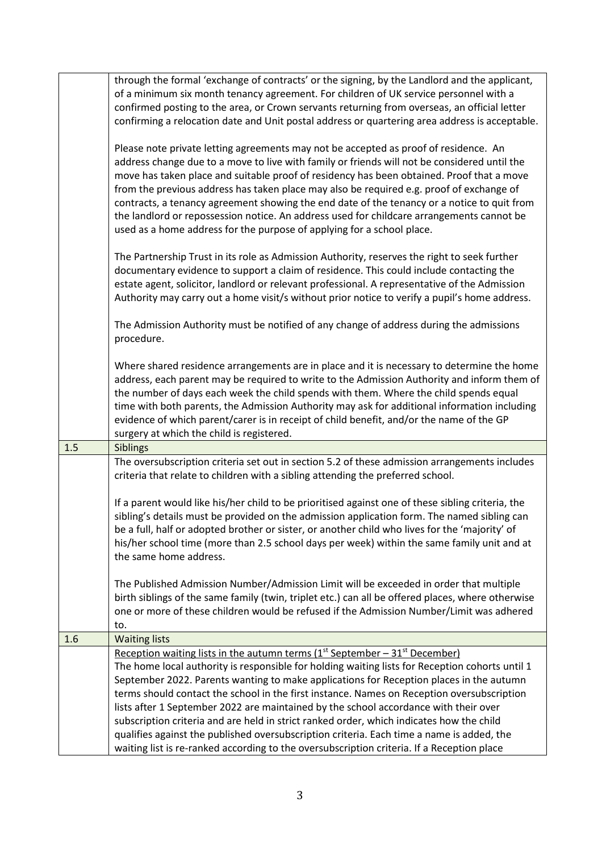|     | through the formal 'exchange of contracts' or the signing, by the Landlord and the applicant,<br>of a minimum six month tenancy agreement. For children of UK service personnel with a<br>confirmed posting to the area, or Crown servants returning from overseas, an official letter<br>confirming a relocation date and Unit postal address or quartering area address is acceptable.                                                                                                                                                                                                                                                                           |
|-----|--------------------------------------------------------------------------------------------------------------------------------------------------------------------------------------------------------------------------------------------------------------------------------------------------------------------------------------------------------------------------------------------------------------------------------------------------------------------------------------------------------------------------------------------------------------------------------------------------------------------------------------------------------------------|
|     | Please note private letting agreements may not be accepted as proof of residence. An<br>address change due to a move to live with family or friends will not be considered until the<br>move has taken place and suitable proof of residency has been obtained. Proof that a move<br>from the previous address has taken place may also be required e.g. proof of exchange of<br>contracts, a tenancy agreement showing the end date of the tenancy or a notice to quit from<br>the landlord or repossession notice. An address used for childcare arrangements cannot be<br>used as a home address for the purpose of applying for a school place.                |
|     | The Partnership Trust in its role as Admission Authority, reserves the right to seek further<br>documentary evidence to support a claim of residence. This could include contacting the<br>estate agent, solicitor, landlord or relevant professional. A representative of the Admission<br>Authority may carry out a home visit/s without prior notice to verify a pupil's home address.                                                                                                                                                                                                                                                                          |
|     | The Admission Authority must be notified of any change of address during the admissions<br>procedure.                                                                                                                                                                                                                                                                                                                                                                                                                                                                                                                                                              |
|     | Where shared residence arrangements are in place and it is necessary to determine the home<br>address, each parent may be required to write to the Admission Authority and inform them of<br>the number of days each week the child spends with them. Where the child spends equal<br>time with both parents, the Admission Authority may ask for additional information including<br>evidence of which parent/carer is in receipt of child benefit, and/or the name of the GP<br>surgery at which the child is registered.                                                                                                                                        |
| 1.5 | Siblings                                                                                                                                                                                                                                                                                                                                                                                                                                                                                                                                                                                                                                                           |
|     | The oversubscription criteria set out in section 5.2 of these admission arrangements includes<br>criteria that relate to children with a sibling attending the preferred school.                                                                                                                                                                                                                                                                                                                                                                                                                                                                                   |
|     |                                                                                                                                                                                                                                                                                                                                                                                                                                                                                                                                                                                                                                                                    |
|     | If a parent would like his/her child to be prioritised against one of these sibling criteria, the<br>sibling's details must be provided on the admission application form. The named sibling can<br>be a full, half or adopted brother or sister, or another child who lives for the 'majority' of<br>his/her school time (more than 2.5 school days per week) within the same family unit and at<br>the same home address.                                                                                                                                                                                                                                        |
|     | The Published Admission Number/Admission Limit will be exceeded in order that multiple<br>birth siblings of the same family (twin, triplet etc.) can all be offered places, where otherwise<br>one or more of these children would be refused if the Admission Number/Limit was adhered<br>to.                                                                                                                                                                                                                                                                                                                                                                     |
| 1.6 | <b>Waiting lists</b>                                                                                                                                                                                                                                                                                                                                                                                                                                                                                                                                                                                                                                               |
|     | Reception waiting lists in the autumn terms $(1^{st}$ September - $31^{st}$ December)<br>The home local authority is responsible for holding waiting lists for Reception cohorts until 1<br>September 2022. Parents wanting to make applications for Reception places in the autumn<br>terms should contact the school in the first instance. Names on Reception oversubscription<br>lists after 1 September 2022 are maintained by the school accordance with their over<br>subscription criteria and are held in strict ranked order, which indicates how the child<br>qualifies against the published oversubscription criteria. Each time a name is added, the |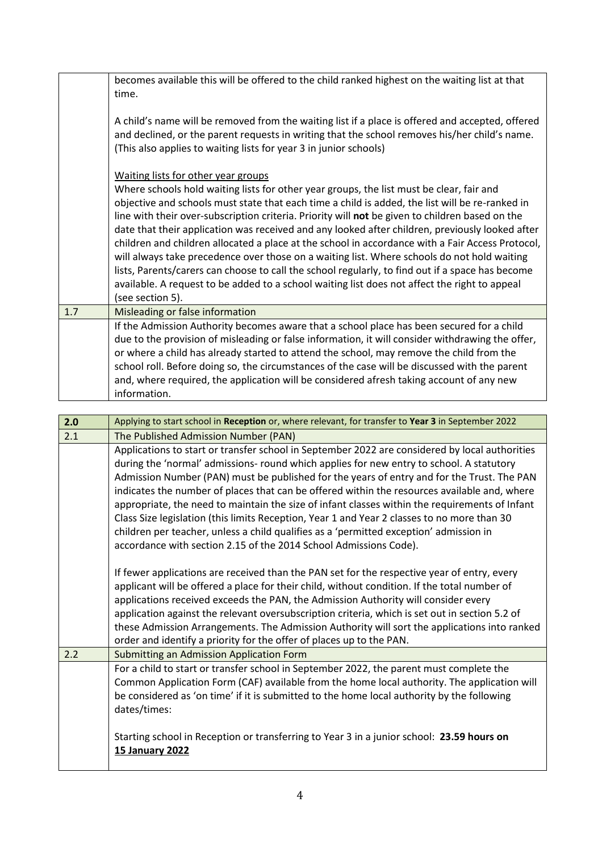|     | becomes available this will be offered to the child ranked highest on the waiting list at that<br>time.<br>A child's name will be removed from the waiting list if a place is offered and accepted, offered<br>and declined, or the parent requests in writing that the school removes his/her child's name.<br>(This also applies to waiting lists for year 3 in junior schools)<br>Waiting lists for other year groups<br>Where schools hold waiting lists for other year groups, the list must be clear, fair and                                                                                                                                                                                                              |
|-----|-----------------------------------------------------------------------------------------------------------------------------------------------------------------------------------------------------------------------------------------------------------------------------------------------------------------------------------------------------------------------------------------------------------------------------------------------------------------------------------------------------------------------------------------------------------------------------------------------------------------------------------------------------------------------------------------------------------------------------------|
|     | objective and schools must state that each time a child is added, the list will be re-ranked in<br>line with their over-subscription criteria. Priority will not be given to children based on the<br>date that their application was received and any looked after children, previously looked after<br>children and children allocated a place at the school in accordance with a Fair Access Protocol,<br>will always take precedence over those on a waiting list. Where schools do not hold waiting<br>lists, Parents/carers can choose to call the school regularly, to find out if a space has become<br>available. A request to be added to a school waiting list does not affect the right to appeal<br>(see section 5). |
| 1.7 | Misleading or false information                                                                                                                                                                                                                                                                                                                                                                                                                                                                                                                                                                                                                                                                                                   |
|     | If the Admission Authority becomes aware that a school place has been secured for a child<br>due to the provision of misleading or false information, it will consider withdrawing the offer,<br>or where a child has already started to attend the school, may remove the child from the<br>school roll. Before doing so, the circumstances of the case will be discussed with the parent<br>and, where required, the application will be considered afresh taking account of any new<br>information.                                                                                                                                                                                                                            |

| 2.0 | Applying to start school in Reception or, where relevant, for transfer to Year 3 in September 2022                                                                                                                                                                                                                                                                                                                                                                                                                                                                                                                                                                                                                                                       |
|-----|----------------------------------------------------------------------------------------------------------------------------------------------------------------------------------------------------------------------------------------------------------------------------------------------------------------------------------------------------------------------------------------------------------------------------------------------------------------------------------------------------------------------------------------------------------------------------------------------------------------------------------------------------------------------------------------------------------------------------------------------------------|
| 2.1 | The Published Admission Number (PAN)                                                                                                                                                                                                                                                                                                                                                                                                                                                                                                                                                                                                                                                                                                                     |
|     | Applications to start or transfer school in September 2022 are considered by local authorities<br>during the 'normal' admissions- round which applies for new entry to school. A statutory<br>Admission Number (PAN) must be published for the years of entry and for the Trust. The PAN<br>indicates the number of places that can be offered within the resources available and, where<br>appropriate, the need to maintain the size of infant classes within the requirements of Infant<br>Class Size legislation (this limits Reception, Year 1 and Year 2 classes to no more than 30<br>children per teacher, unless a child qualifies as a 'permitted exception' admission in<br>accordance with section 2.15 of the 2014 School Admissions Code). |
|     | If fewer applications are received than the PAN set for the respective year of entry, every<br>applicant will be offered a place for their child, without condition. If the total number of<br>applications received exceeds the PAN, the Admission Authority will consider every<br>application against the relevant oversubscription criteria, which is set out in section 5.2 of<br>these Admission Arrangements. The Admission Authority will sort the applications into ranked<br>order and identify a priority for the offer of places up to the PAN.                                                                                                                                                                                              |
| 2.2 | <b>Submitting an Admission Application Form</b>                                                                                                                                                                                                                                                                                                                                                                                                                                                                                                                                                                                                                                                                                                          |
|     | For a child to start or transfer school in September 2022, the parent must complete the<br>Common Application Form (CAF) available from the home local authority. The application will<br>be considered as 'on time' if it is submitted to the home local authority by the following<br>dates/times:<br>Starting school in Reception or transferring to Year 3 in a junior school: 23.59 hours on<br><b>15 January 2022</b>                                                                                                                                                                                                                                                                                                                              |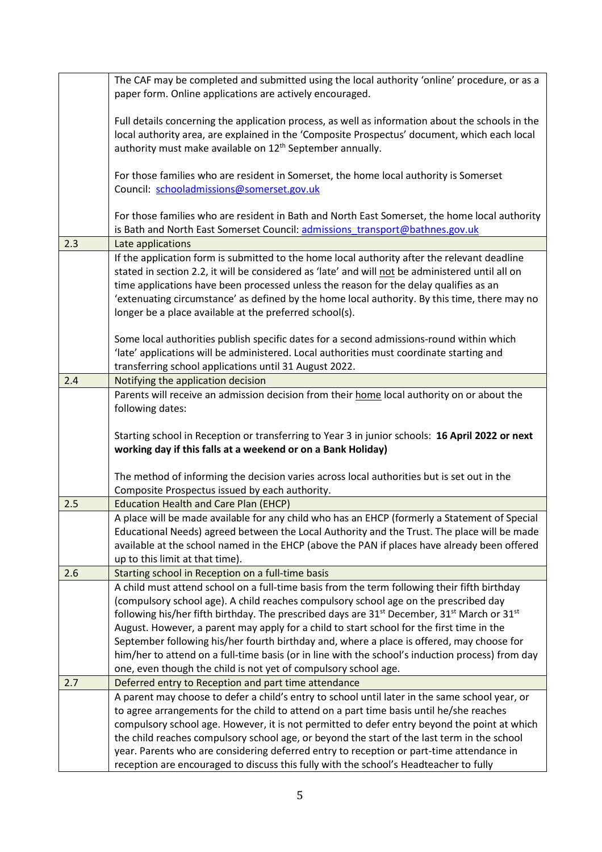|     | The CAF may be completed and submitted using the local authority 'online' procedure, or as a               |
|-----|------------------------------------------------------------------------------------------------------------|
|     | paper form. Online applications are actively encouraged.                                                   |
|     |                                                                                                            |
|     | Full details concerning the application process, as well as information about the schools in the           |
|     | local authority area, are explained in the 'Composite Prospectus' document, which each local               |
|     | authority must make available on 12 <sup>th</sup> September annually.                                      |
|     |                                                                                                            |
|     | For those families who are resident in Somerset, the home local authority is Somerset                      |
|     | Council: schooladmissions@somerset.gov.uk                                                                  |
|     |                                                                                                            |
|     | For those families who are resident in Bath and North East Somerset, the home local authority              |
|     | is Bath and North East Somerset Council: admissions transport@bathnes.gov.uk                               |
| 2.3 | Late applications                                                                                          |
|     |                                                                                                            |
|     | If the application form is submitted to the home local authority after the relevant deadline               |
|     | stated in section 2.2, it will be considered as 'late' and will not be administered until all on           |
|     | time applications have been processed unless the reason for the delay qualifies as an                      |
|     | 'extenuating circumstance' as defined by the home local authority. By this time, there may no              |
|     | longer be a place available at the preferred school(s).                                                    |
|     |                                                                                                            |
|     | Some local authorities publish specific dates for a second admissions-round within which                   |
|     | 'late' applications will be administered. Local authorities must coordinate starting and                   |
|     | transferring school applications until 31 August 2022.                                                     |
| 2.4 | Notifying the application decision                                                                         |
|     | Parents will receive an admission decision from their home local authority on or about the                 |
|     | following dates:                                                                                           |
|     |                                                                                                            |
|     |                                                                                                            |
|     |                                                                                                            |
|     | Starting school in Reception or transferring to Year 3 in junior schools: 16 April 2022 or next            |
|     | working day if this falls at a weekend or on a Bank Holiday)                                               |
|     |                                                                                                            |
|     | The method of informing the decision varies across local authorities but is set out in the                 |
|     | Composite Prospectus issued by each authority.                                                             |
| 2.5 | <b>Education Health and Care Plan (EHCP)</b>                                                               |
|     | A place will be made available for any child who has an EHCP (formerly a Statement of Special              |
|     | Educational Needs) agreed between the Local Authority and the Trust. The place will be made                |
|     | available at the school named in the EHCP (above the PAN if places have already been offered               |
|     | up to this limit at that time).                                                                            |
| 2.6 | Starting school in Reception on a full-time basis                                                          |
|     | A child must attend school on a full-time basis from the term following their fifth birthday               |
|     | (compulsory school age). A child reaches compulsory school age on the prescribed day                       |
|     |                                                                                                            |
|     | following his/her fifth birthday. The prescribed days are $31^{st}$ December, $31^{st}$ March or $31^{st}$ |
|     | August. However, a parent may apply for a child to start school for the first time in the                  |
|     | September following his/her fourth birthday and, where a place is offered, may choose for                  |
|     | him/her to attend on a full-time basis (or in line with the school's induction process) from day           |
|     | one, even though the child is not yet of compulsory school age.                                            |
| 2.7 | Deferred entry to Reception and part time attendance                                                       |
|     | A parent may choose to defer a child's entry to school until later in the same school year, or             |
|     | to agree arrangements for the child to attend on a part time basis until he/she reaches                    |
|     | compulsory school age. However, it is not permitted to defer entry beyond the point at which               |
|     | the child reaches compulsory school age, or beyond the start of the last term in the school                |
|     | year. Parents who are considering deferred entry to reception or part-time attendance in                   |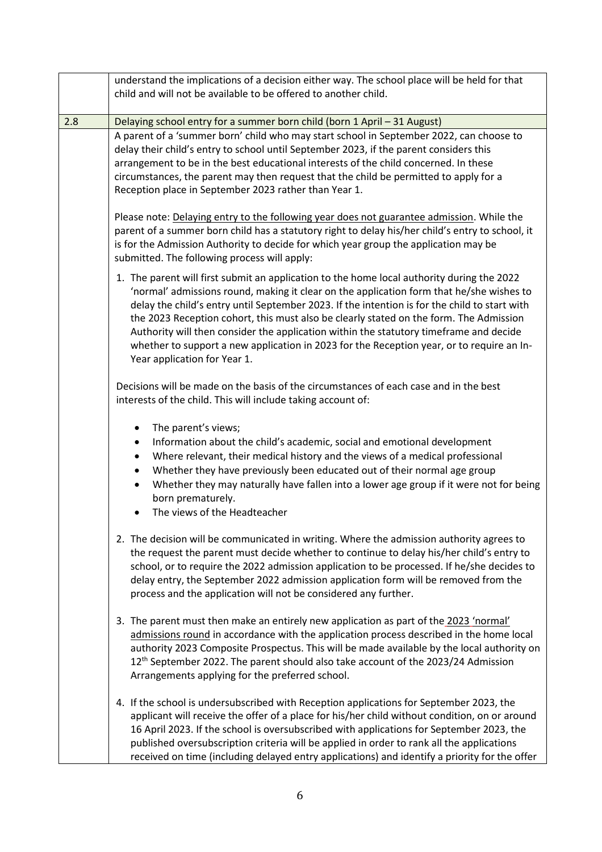|     | understand the implications of a decision either way. The school place will be held for that<br>child and will not be available to be offered to another child.                                                                                                                                                                                                                                                                                                                                                                                                                                          |
|-----|----------------------------------------------------------------------------------------------------------------------------------------------------------------------------------------------------------------------------------------------------------------------------------------------------------------------------------------------------------------------------------------------------------------------------------------------------------------------------------------------------------------------------------------------------------------------------------------------------------|
| 2.8 | Delaying school entry for a summer born child (born 1 April - 31 August)                                                                                                                                                                                                                                                                                                                                                                                                                                                                                                                                 |
|     | A parent of a 'summer born' child who may start school in September 2022, can choose to<br>delay their child's entry to school until September 2023, if the parent considers this<br>arrangement to be in the best educational interests of the child concerned. In these<br>circumstances, the parent may then request that the child be permitted to apply for a<br>Reception place in September 2023 rather than Year 1.                                                                                                                                                                              |
|     | Please note: Delaying entry to the following year does not guarantee admission. While the<br>parent of a summer born child has a statutory right to delay his/her child's entry to school, it<br>is for the Admission Authority to decide for which year group the application may be<br>submitted. The following process will apply:                                                                                                                                                                                                                                                                    |
|     | 1. The parent will first submit an application to the home local authority during the 2022<br>'normal' admissions round, making it clear on the application form that he/she wishes to<br>delay the child's entry until September 2023. If the intention is for the child to start with<br>the 2023 Reception cohort, this must also be clearly stated on the form. The Admission<br>Authority will then consider the application within the statutory timeframe and decide<br>whether to support a new application in 2023 for the Reception year, or to require an In-<br>Year application for Year 1. |
|     | Decisions will be made on the basis of the circumstances of each case and in the best<br>interests of the child. This will include taking account of:                                                                                                                                                                                                                                                                                                                                                                                                                                                    |
|     | The parent's views;<br>$\bullet$<br>Information about the child's academic, social and emotional development<br>٠<br>Where relevant, their medical history and the views of a medical professional<br>$\bullet$<br>Whether they have previously been educated out of their normal age group<br>$\bullet$<br>Whether they may naturally have fallen into a lower age group if it were not for being<br>$\bullet$<br>born prematurely.<br>The views of the Headteacher<br>$\bullet$                                                                                                                        |
|     | 2. The decision will be communicated in writing. Where the admission authority agrees to<br>the request the parent must decide whether to continue to delay his/her child's entry to<br>school, or to require the 2022 admission application to be processed. If he/she decides to<br>delay entry, the September 2022 admission application form will be removed from the<br>process and the application will not be considered any further.                                                                                                                                                             |
|     | 3. The parent must then make an entirely new application as part of the 2023 'normal'<br>admissions round in accordance with the application process described in the home local<br>authority 2023 Composite Prospectus. This will be made available by the local authority on<br>12 <sup>th</sup> September 2022. The parent should also take account of the 2023/24 Admission<br>Arrangements applying for the preferred school.                                                                                                                                                                       |
|     | 4. If the school is undersubscribed with Reception applications for September 2023, the<br>applicant will receive the offer of a place for his/her child without condition, on or around<br>16 April 2023. If the school is oversubscribed with applications for September 2023, the<br>published oversubscription criteria will be applied in order to rank all the applications<br>received on time (including delayed entry applications) and identify a priority for the offer                                                                                                                       |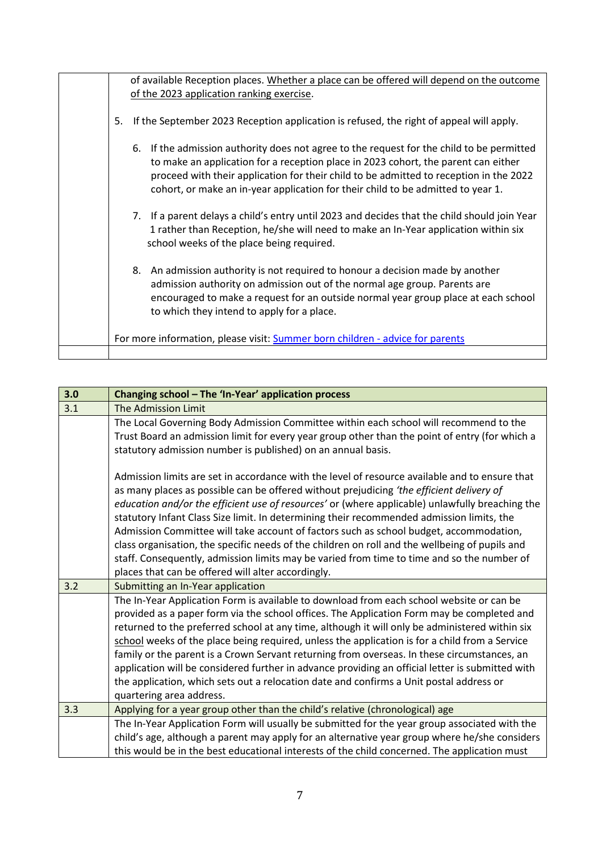|    | of available Reception places. Whether a place can be offered will depend on the outcome<br>of the 2023 application ranking exercise.                                                                                                                                                                                                                            |
|----|------------------------------------------------------------------------------------------------------------------------------------------------------------------------------------------------------------------------------------------------------------------------------------------------------------------------------------------------------------------|
| 5. | If the September 2023 Reception application is refused, the right of appeal will apply.                                                                                                                                                                                                                                                                          |
|    | If the admission authority does not agree to the request for the child to be permitted<br>6.<br>to make an application for a reception place in 2023 cohort, the parent can either<br>proceed with their application for their child to be admitted to reception in the 2022<br>cohort, or make an in-year application for their child to be admitted to year 1. |
|    | 7. If a parent delays a child's entry until 2023 and decides that the child should join Year<br>1 rather than Reception, he/she will need to make an In-Year application within six<br>school weeks of the place being required.                                                                                                                                 |
|    | 8. An admission authority is not required to honour a decision made by another<br>admission authority on admission out of the normal age group. Parents are<br>encouraged to make a request for an outside normal year group place at each school<br>to which they intend to apply for a place.                                                                  |
|    | For more information, please visit: Summer born children - advice for parents                                                                                                                                                                                                                                                                                    |
|    |                                                                                                                                                                                                                                                                                                                                                                  |

| 3.0 | Changing school - The 'In-Year' application process                                                                                                                                                                                                                                                                                                                                                                                                                                                                                                                                                                                                                                                                                        |
|-----|--------------------------------------------------------------------------------------------------------------------------------------------------------------------------------------------------------------------------------------------------------------------------------------------------------------------------------------------------------------------------------------------------------------------------------------------------------------------------------------------------------------------------------------------------------------------------------------------------------------------------------------------------------------------------------------------------------------------------------------------|
| 3.1 | The Admission Limit                                                                                                                                                                                                                                                                                                                                                                                                                                                                                                                                                                                                                                                                                                                        |
|     | The Local Governing Body Admission Committee within each school will recommend to the<br>Trust Board an admission limit for every year group other than the point of entry (for which a<br>statutory admission number is published) on an annual basis.                                                                                                                                                                                                                                                                                                                                                                                                                                                                                    |
|     | Admission limits are set in accordance with the level of resource available and to ensure that<br>as many places as possible can be offered without prejudicing 'the efficient delivery of<br>education and/or the efficient use of resources' or (where applicable) unlawfully breaching the<br>statutory Infant Class Size limit. In determining their recommended admission limits, the<br>Admission Committee will take account of factors such as school budget, accommodation,<br>class organisation, the specific needs of the children on roll and the wellbeing of pupils and<br>staff. Consequently, admission limits may be varied from time to time and so the number of<br>places that can be offered will alter accordingly. |
| 3.2 | Submitting an In-Year application                                                                                                                                                                                                                                                                                                                                                                                                                                                                                                                                                                                                                                                                                                          |
|     | The In-Year Application Form is available to download from each school website or can be<br>provided as a paper form via the school offices. The Application Form may be completed and<br>returned to the preferred school at any time, although it will only be administered within six<br>school weeks of the place being required, unless the application is for a child from a Service<br>family or the parent is a Crown Servant returning from overseas. In these circumstances, an<br>application will be considered further in advance providing an official letter is submitted with<br>the application, which sets out a relocation date and confirms a Unit postal address or<br>quartering area address.                       |
| 3.3 | Applying for a year group other than the child's relative (chronological) age                                                                                                                                                                                                                                                                                                                                                                                                                                                                                                                                                                                                                                                              |
|     | The In-Year Application Form will usually be submitted for the year group associated with the<br>child's age, although a parent may apply for an alternative year group where he/she considers<br>this would be in the best educational interests of the child concerned. The application must                                                                                                                                                                                                                                                                                                                                                                                                                                             |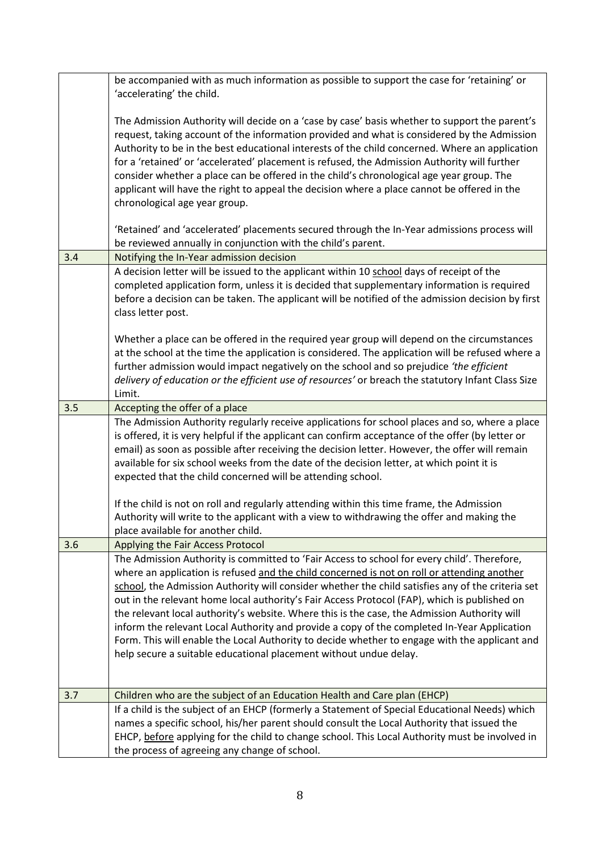|     | be accompanied with as much information as possible to support the case for 'retaining' or<br>'accelerating' the child.                                                                                                                                                                                                                                                                                                                                                                                                                                                                                                                                                                                                                                              |
|-----|----------------------------------------------------------------------------------------------------------------------------------------------------------------------------------------------------------------------------------------------------------------------------------------------------------------------------------------------------------------------------------------------------------------------------------------------------------------------------------------------------------------------------------------------------------------------------------------------------------------------------------------------------------------------------------------------------------------------------------------------------------------------|
|     | The Admission Authority will decide on a 'case by case' basis whether to support the parent's<br>request, taking account of the information provided and what is considered by the Admission<br>Authority to be in the best educational interests of the child concerned. Where an application<br>for a 'retained' or 'accelerated' placement is refused, the Admission Authority will further<br>consider whether a place can be offered in the child's chronological age year group. The<br>applicant will have the right to appeal the decision where a place cannot be offered in the<br>chronological age year group.                                                                                                                                           |
|     | 'Retained' and 'accelerated' placements secured through the In-Year admissions process will<br>be reviewed annually in conjunction with the child's parent.                                                                                                                                                                                                                                                                                                                                                                                                                                                                                                                                                                                                          |
| 3.4 | Notifying the In-Year admission decision                                                                                                                                                                                                                                                                                                                                                                                                                                                                                                                                                                                                                                                                                                                             |
|     | A decision letter will be issued to the applicant within 10 school days of receipt of the<br>completed application form, unless it is decided that supplementary information is required<br>before a decision can be taken. The applicant will be notified of the admission decision by first<br>class letter post.                                                                                                                                                                                                                                                                                                                                                                                                                                                  |
|     | Whether a place can be offered in the required year group will depend on the circumstances<br>at the school at the time the application is considered. The application will be refused where a<br>further admission would impact negatively on the school and so prejudice 'the efficient<br>delivery of education or the efficient use of resources' or breach the statutory Infant Class Size<br>Limit.                                                                                                                                                                                                                                                                                                                                                            |
| 3.5 | Accepting the offer of a place                                                                                                                                                                                                                                                                                                                                                                                                                                                                                                                                                                                                                                                                                                                                       |
|     | The Admission Authority regularly receive applications for school places and so, where a place<br>is offered, it is very helpful if the applicant can confirm acceptance of the offer (by letter or<br>email) as soon as possible after receiving the decision letter. However, the offer will remain<br>available for six school weeks from the date of the decision letter, at which point it is<br>expected that the child concerned will be attending school.<br>If the child is not on roll and regularly attending within this time frame, the Admission                                                                                                                                                                                                       |
|     | Authority will write to the applicant with a view to withdrawing the offer and making the<br>place available for another child.                                                                                                                                                                                                                                                                                                                                                                                                                                                                                                                                                                                                                                      |
| 3.6 | Applying the Fair Access Protocol                                                                                                                                                                                                                                                                                                                                                                                                                                                                                                                                                                                                                                                                                                                                    |
|     | The Admission Authority is committed to 'Fair Access to school for every child'. Therefore,<br>where an application is refused and the child concerned is not on roll or attending another<br>school, the Admission Authority will consider whether the child satisfies any of the criteria set<br>out in the relevant home local authority's Fair Access Protocol (FAP), which is published on<br>the relevant local authority's website. Where this is the case, the Admission Authority will<br>inform the relevant Local Authority and provide a copy of the completed In-Year Application<br>Form. This will enable the Local Authority to decide whether to engage with the applicant and<br>help secure a suitable educational placement without undue delay. |
| 3.7 | Children who are the subject of an Education Health and Care plan (EHCP)                                                                                                                                                                                                                                                                                                                                                                                                                                                                                                                                                                                                                                                                                             |
|     | If a child is the subject of an EHCP (formerly a Statement of Special Educational Needs) which<br>names a specific school, his/her parent should consult the Local Authority that issued the<br>EHCP, before applying for the child to change school. This Local Authority must be involved in<br>the process of agreeing any change of school.                                                                                                                                                                                                                                                                                                                                                                                                                      |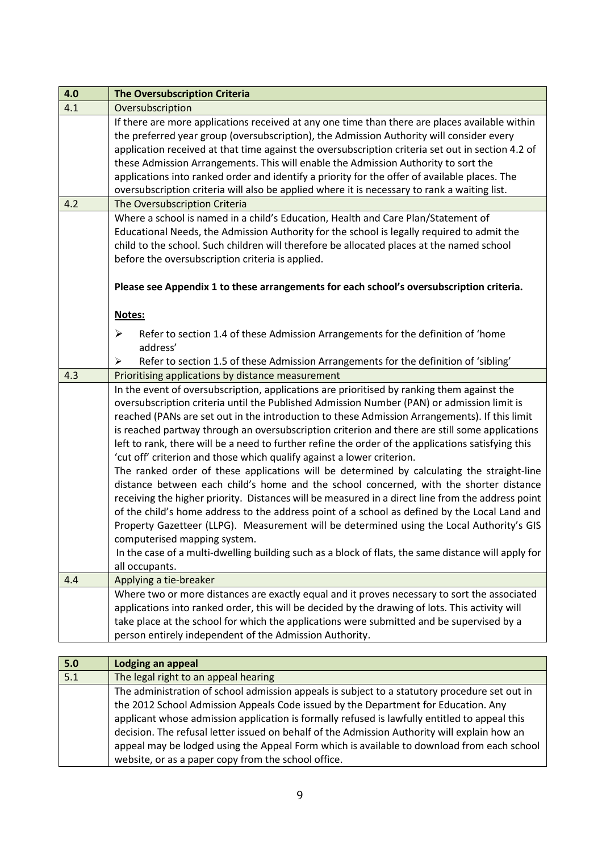| 4.0 | <b>The Oversubscription Criteria</b>                                                                                                                                                                                                                                                                                                                                                                                                                                                                                                                                                                                                                                                                                                                                                                                                                                                                                                                                                                                                                                                                                                                                                                                            |
|-----|---------------------------------------------------------------------------------------------------------------------------------------------------------------------------------------------------------------------------------------------------------------------------------------------------------------------------------------------------------------------------------------------------------------------------------------------------------------------------------------------------------------------------------------------------------------------------------------------------------------------------------------------------------------------------------------------------------------------------------------------------------------------------------------------------------------------------------------------------------------------------------------------------------------------------------------------------------------------------------------------------------------------------------------------------------------------------------------------------------------------------------------------------------------------------------------------------------------------------------|
| 4.1 | Oversubscription                                                                                                                                                                                                                                                                                                                                                                                                                                                                                                                                                                                                                                                                                                                                                                                                                                                                                                                                                                                                                                                                                                                                                                                                                |
|     | If there are more applications received at any one time than there are places available within<br>the preferred year group (oversubscription), the Admission Authority will consider every<br>application received at that time against the oversubscription criteria set out in section 4.2 of<br>these Admission Arrangements. This will enable the Admission Authority to sort the<br>applications into ranked order and identify a priority for the offer of available places. The<br>oversubscription criteria will also be applied where it is necessary to rank a waiting list.                                                                                                                                                                                                                                                                                                                                                                                                                                                                                                                                                                                                                                          |
| 4.2 | The Oversubscription Criteria                                                                                                                                                                                                                                                                                                                                                                                                                                                                                                                                                                                                                                                                                                                                                                                                                                                                                                                                                                                                                                                                                                                                                                                                   |
|     | Where a school is named in a child's Education, Health and Care Plan/Statement of<br>Educational Needs, the Admission Authority for the school is legally required to admit the<br>child to the school. Such children will therefore be allocated places at the named school<br>before the oversubscription criteria is applied.<br>Please see Appendix 1 to these arrangements for each school's oversubscription criteria.                                                                                                                                                                                                                                                                                                                                                                                                                                                                                                                                                                                                                                                                                                                                                                                                    |
|     | Notes:                                                                                                                                                                                                                                                                                                                                                                                                                                                                                                                                                                                                                                                                                                                                                                                                                                                                                                                                                                                                                                                                                                                                                                                                                          |
|     | Refer to section 1.4 of these Admission Arrangements for the definition of 'home<br>≻<br>address'                                                                                                                                                                                                                                                                                                                                                                                                                                                                                                                                                                                                                                                                                                                                                                                                                                                                                                                                                                                                                                                                                                                               |
|     | Refer to section 1.5 of these Admission Arrangements for the definition of 'sibling'<br>➤                                                                                                                                                                                                                                                                                                                                                                                                                                                                                                                                                                                                                                                                                                                                                                                                                                                                                                                                                                                                                                                                                                                                       |
| 4.3 | Prioritising applications by distance measurement                                                                                                                                                                                                                                                                                                                                                                                                                                                                                                                                                                                                                                                                                                                                                                                                                                                                                                                                                                                                                                                                                                                                                                               |
|     | In the event of oversubscription, applications are prioritised by ranking them against the<br>oversubscription criteria until the Published Admission Number (PAN) or admission limit is<br>reached (PANs are set out in the introduction to these Admission Arrangements). If this limit<br>is reached partway through an oversubscription criterion and there are still some applications<br>left to rank, there will be a need to further refine the order of the applications satisfying this<br>'cut off' criterion and those which qualify against a lower criterion.<br>The ranked order of these applications will be determined by calculating the straight-line<br>distance between each child's home and the school concerned, with the shorter distance<br>receiving the higher priority. Distances will be measured in a direct line from the address point<br>of the child's home address to the address point of a school as defined by the Local Land and<br>Property Gazetteer (LLPG). Measurement will be determined using the Local Authority's GIS<br>computerised mapping system.<br>In the case of a multi-dwelling building such as a block of flats, the same distance will apply for<br>all occupants. |
| 4.4 | Applying a tie-breaker                                                                                                                                                                                                                                                                                                                                                                                                                                                                                                                                                                                                                                                                                                                                                                                                                                                                                                                                                                                                                                                                                                                                                                                                          |
|     | Where two or more distances are exactly equal and it proves necessary to sort the associated<br>applications into ranked order, this will be decided by the drawing of lots. This activity will<br>take place at the school for which the applications were submitted and be supervised by a<br>person entirely independent of the Admission Authority.                                                                                                                                                                                                                                                                                                                                                                                                                                                                                                                                                                                                                                                                                                                                                                                                                                                                         |

| 5.0 | Lodging an appeal                                                                             |  |  |  |  |
|-----|-----------------------------------------------------------------------------------------------|--|--|--|--|
| 5.1 | The legal right to an appeal hearing                                                          |  |  |  |  |
|     | The administration of school admission appeals is subject to a statutory procedure set out in |  |  |  |  |
|     | the 2012 School Admission Appeals Code issued by the Department for Education. Any            |  |  |  |  |
|     | applicant whose admission application is formally refused is lawfully entitled to appeal this |  |  |  |  |
|     | decision. The refusal letter issued on behalf of the Admission Authority will explain how an  |  |  |  |  |
|     | appeal may be lodged using the Appeal Form which is available to download from each school    |  |  |  |  |
|     | website, or as a paper copy from the school office.                                           |  |  |  |  |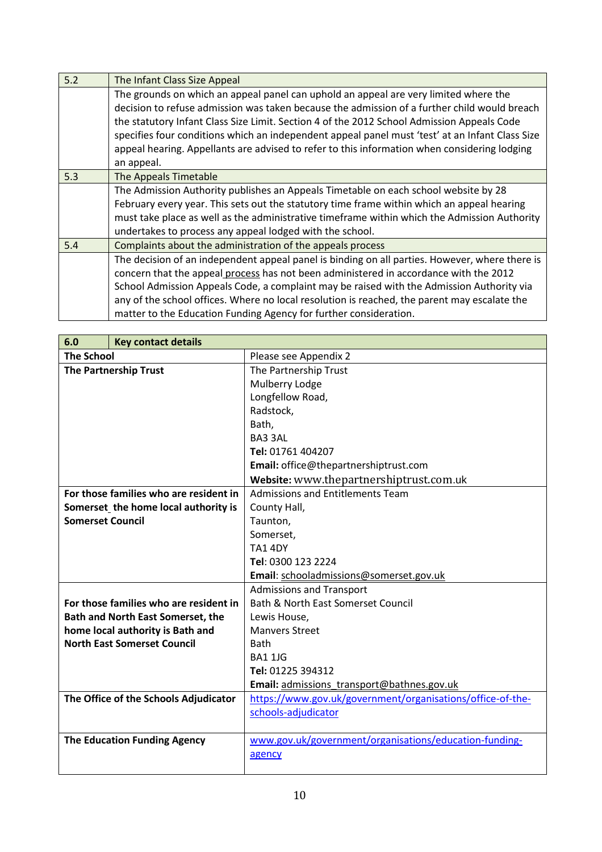| 5.2 | The Infant Class Size Appeal                                                                    |  |  |  |  |  |  |
|-----|-------------------------------------------------------------------------------------------------|--|--|--|--|--|--|
|     | The grounds on which an appeal panel can uphold an appeal are very limited where the            |  |  |  |  |  |  |
|     | decision to refuse admission was taken because the admission of a further child would breach    |  |  |  |  |  |  |
|     | the statutory Infant Class Size Limit. Section 4 of the 2012 School Admission Appeals Code      |  |  |  |  |  |  |
|     | specifies four conditions which an independent appeal panel must 'test' at an Infant Class Size |  |  |  |  |  |  |
|     | appeal hearing. Appellants are advised to refer to this information when considering lodging    |  |  |  |  |  |  |
|     | an appeal.                                                                                      |  |  |  |  |  |  |
| 5.3 | The Appeals Timetable                                                                           |  |  |  |  |  |  |
|     | The Admission Authority publishes an Appeals Timetable on each school website by 28             |  |  |  |  |  |  |
|     | February every year. This sets out the statutory time frame within which an appeal hearing      |  |  |  |  |  |  |
|     | must take place as well as the administrative timeframe within which the Admission Authority    |  |  |  |  |  |  |
|     | undertakes to process any appeal lodged with the school.                                        |  |  |  |  |  |  |
| 5.4 | Complaints about the administration of the appeals process                                      |  |  |  |  |  |  |
|     | The decision of an independent appeal panel is binding on all parties. However, where there is  |  |  |  |  |  |  |
|     | concern that the appeal process has not been administered in accordance with the 2012           |  |  |  |  |  |  |
|     | School Admission Appeals Code, a complaint may be raised with the Admission Authority via       |  |  |  |  |  |  |
|     | any of the school offices. Where no local resolution is reached, the parent may escalate the    |  |  |  |  |  |  |
|     | matter to the Education Funding Agency for further consideration.                               |  |  |  |  |  |  |

| 6.0                                      | <b>Key contact details</b>             |                                                            |  |  |
|------------------------------------------|----------------------------------------|------------------------------------------------------------|--|--|
| <b>The School</b>                        |                                        | Please see Appendix 2                                      |  |  |
|                                          | <b>The Partnership Trust</b>           | The Partnership Trust                                      |  |  |
|                                          |                                        | Mulberry Lodge                                             |  |  |
|                                          |                                        | Longfellow Road,                                           |  |  |
|                                          |                                        | Radstock,                                                  |  |  |
|                                          |                                        | Bath,                                                      |  |  |
|                                          |                                        | BA3 3AL                                                    |  |  |
|                                          |                                        | Tel: 01761 404207                                          |  |  |
|                                          |                                        | Email: office@thepartnershiptrust.com                      |  |  |
|                                          |                                        | Website: www.thepartnershiptrust.com.uk                    |  |  |
|                                          | For those families who are resident in | <b>Admissions and Entitlements Team</b>                    |  |  |
|                                          | Somerset the home local authority is   | County Hall,                                               |  |  |
| <b>Somerset Council</b>                  |                                        | Taunton,                                                   |  |  |
|                                          |                                        | Somerset,                                                  |  |  |
|                                          |                                        | <b>TA1 4DY</b>                                             |  |  |
|                                          |                                        | Tel: 0300 123 2224                                         |  |  |
|                                          |                                        | Email: schooladmissions@somerset.gov.uk                    |  |  |
|                                          |                                        | <b>Admissions and Transport</b>                            |  |  |
|                                          | For those families who are resident in | <b>Bath &amp; North East Somerset Council</b>              |  |  |
| <b>Bath and North East Somerset, the</b> |                                        | Lewis House,                                               |  |  |
|                                          | home local authority is Bath and       | <b>Manvers Street</b>                                      |  |  |
| <b>North East Somerset Council</b>       |                                        | <b>Bath</b>                                                |  |  |
|                                          |                                        | <b>BA1 1JG</b>                                             |  |  |
|                                          |                                        | Tel: 01225 394312                                          |  |  |
|                                          |                                        | Email: admissions_transport@bathnes.gov.uk                 |  |  |
| The Office of the Schools Adjudicator    |                                        | https://www.gov.uk/government/organisations/office-of-the- |  |  |
|                                          |                                        | schools-adjudicator                                        |  |  |
|                                          |                                        |                                                            |  |  |
|                                          | <b>The Education Funding Agency</b>    | www.gov.uk/government/organisations/education-funding-     |  |  |
|                                          |                                        | agency                                                     |  |  |
|                                          |                                        |                                                            |  |  |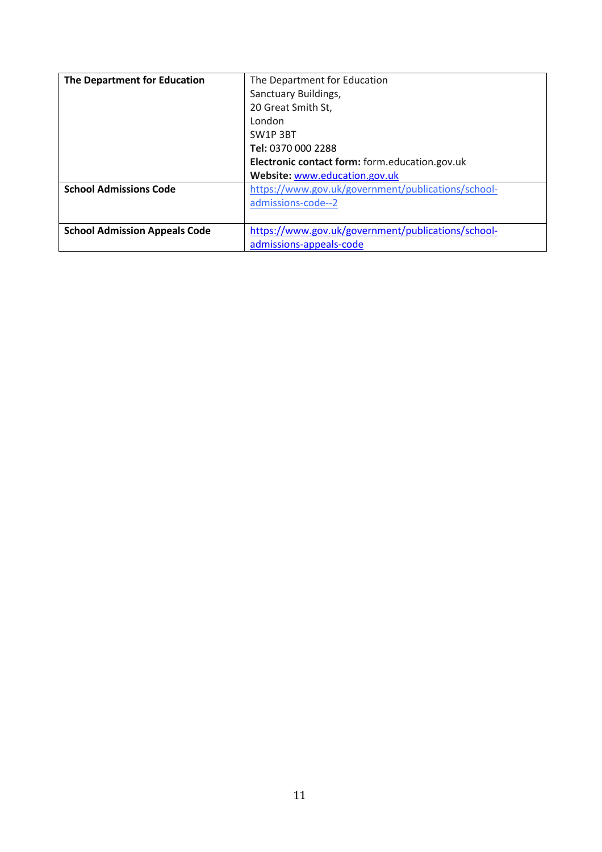| The Department for Education         | The Department for Education                       |  |  |  |
|--------------------------------------|----------------------------------------------------|--|--|--|
|                                      | Sanctuary Buildings,                               |  |  |  |
|                                      | 20 Great Smith St,                                 |  |  |  |
|                                      | London                                             |  |  |  |
|                                      | SW1P3BT                                            |  |  |  |
|                                      | Tel: 0370 000 2288                                 |  |  |  |
|                                      | Electronic contact form: form.education.gov.uk     |  |  |  |
|                                      | Website: www.education.gov.uk                      |  |  |  |
| <b>School Admissions Code</b>        | https://www.gov.uk/government/publications/school- |  |  |  |
|                                      | admissions-code--2                                 |  |  |  |
|                                      |                                                    |  |  |  |
| <b>School Admission Appeals Code</b> | https://www.gov.uk/government/publications/school- |  |  |  |
|                                      | admissions-appeals-code                            |  |  |  |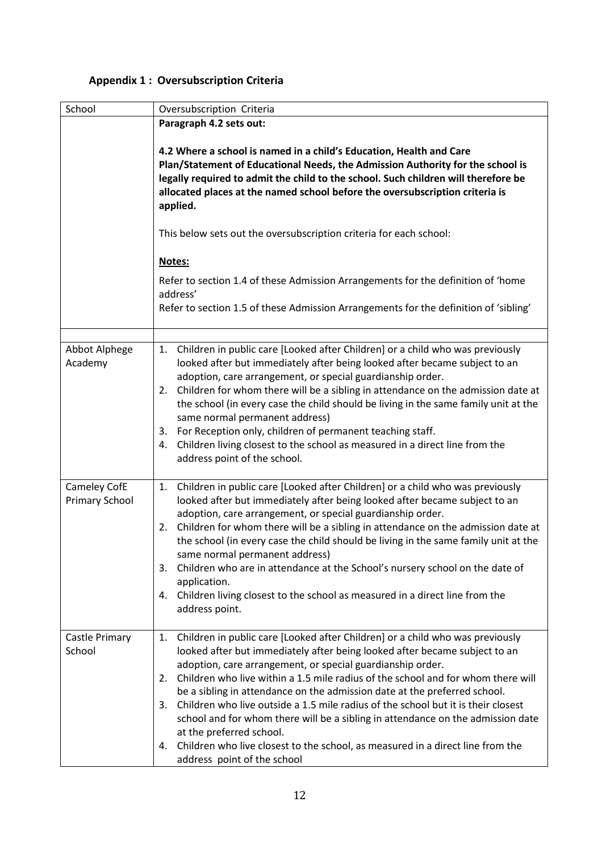## **Appendix 1 : Oversubscription Criteria**

| School                                | Oversubscription Criteria                                                                                                                                                                                                                                                                                                                                                                                                                                                                                                                                                                                                                                                                                                               |  |  |  |  |
|---------------------------------------|-----------------------------------------------------------------------------------------------------------------------------------------------------------------------------------------------------------------------------------------------------------------------------------------------------------------------------------------------------------------------------------------------------------------------------------------------------------------------------------------------------------------------------------------------------------------------------------------------------------------------------------------------------------------------------------------------------------------------------------------|--|--|--|--|
|                                       | Paragraph 4.2 sets out:                                                                                                                                                                                                                                                                                                                                                                                                                                                                                                                                                                                                                                                                                                                 |  |  |  |  |
|                                       | 4.2 Where a school is named in a child's Education, Health and Care<br>Plan/Statement of Educational Needs, the Admission Authority for the school is<br>legally required to admit the child to the school. Such children will therefore be<br>allocated places at the named school before the oversubscription criteria is<br>applied.                                                                                                                                                                                                                                                                                                                                                                                                 |  |  |  |  |
|                                       | This below sets out the oversubscription criteria for each school:                                                                                                                                                                                                                                                                                                                                                                                                                                                                                                                                                                                                                                                                      |  |  |  |  |
|                                       | Notes:                                                                                                                                                                                                                                                                                                                                                                                                                                                                                                                                                                                                                                                                                                                                  |  |  |  |  |
|                                       | Refer to section 1.4 of these Admission Arrangements for the definition of 'home<br>address'                                                                                                                                                                                                                                                                                                                                                                                                                                                                                                                                                                                                                                            |  |  |  |  |
|                                       | Refer to section 1.5 of these Admission Arrangements for the definition of 'sibling'                                                                                                                                                                                                                                                                                                                                                                                                                                                                                                                                                                                                                                                    |  |  |  |  |
| Abbot Alphege<br>Academy              | Children in public care [Looked after Children] or a child who was previously<br>1.<br>looked after but immediately after being looked after became subject to an<br>adoption, care arrangement, or special guardianship order.<br>2. Children for whom there will be a sibling in attendance on the admission date at<br>the school (in every case the child should be living in the same family unit at the<br>same normal permanent address)<br>For Reception only, children of permanent teaching staff.<br>3.<br>Children living closest to the school as measured in a direct line from the<br>4.<br>address point of the school.                                                                                                 |  |  |  |  |
| Cameley CofE<br><b>Primary School</b> | Children in public care [Looked after Children] or a child who was previously<br>1.<br>looked after but immediately after being looked after became subject to an<br>adoption, care arrangement, or special guardianship order.<br>Children for whom there will be a sibling in attendance on the admission date at<br>2.<br>the school (in every case the child should be living in the same family unit at the<br>same normal permanent address)<br>Children who are in attendance at the School's nursery school on the date of<br>3.<br>application.<br>4. Children living closest to the school as measured in a direct line from the<br>address point.                                                                            |  |  |  |  |
| Castle Primary<br>School              | Children in public care [Looked after Children] or a child who was previously<br>1.<br>looked after but immediately after being looked after became subject to an<br>adoption, care arrangement, or special guardianship order.<br>Children who live within a 1.5 mile radius of the school and for whom there will<br>2.<br>be a sibling in attendance on the admission date at the preferred school.<br>Children who live outside a 1.5 mile radius of the school but it is their closest<br>3.<br>school and for whom there will be a sibling in attendance on the admission date<br>at the preferred school.<br>Children who live closest to the school, as measured in a direct line from the<br>4.<br>address point of the school |  |  |  |  |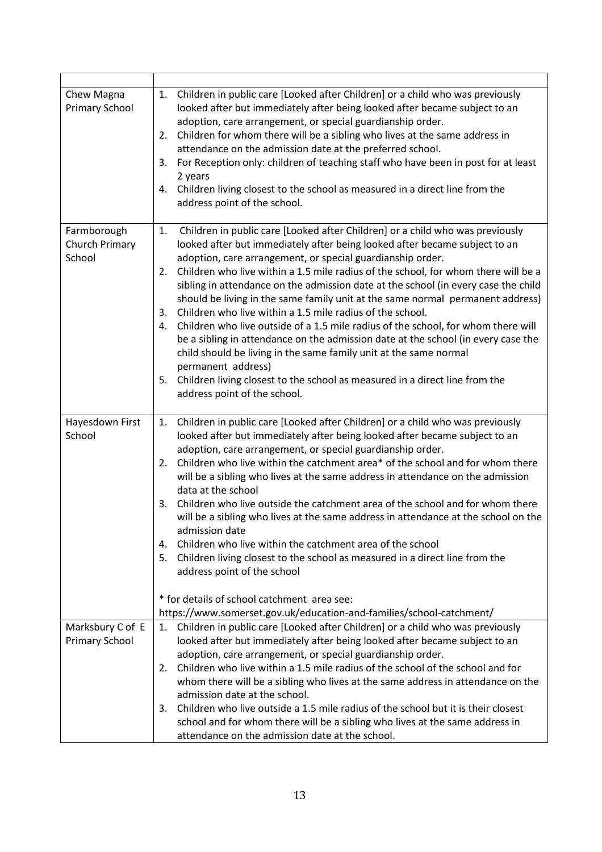| Chew Magna<br>Primary School              | Children in public care [Looked after Children] or a child who was previously<br>1.<br>looked after but immediately after being looked after became subject to an<br>adoption, care arrangement, or special guardianship order.<br>Children for whom there will be a sibling who lives at the same address in<br>2.<br>attendance on the admission date at the preferred school.<br>3. For Reception only: children of teaching staff who have been in post for at least<br>2 years<br>Children living closest to the school as measured in a direct line from the<br>4.<br>address point of the school.                                                                                                                                                                                                                                                                                                                                                               |
|-------------------------------------------|------------------------------------------------------------------------------------------------------------------------------------------------------------------------------------------------------------------------------------------------------------------------------------------------------------------------------------------------------------------------------------------------------------------------------------------------------------------------------------------------------------------------------------------------------------------------------------------------------------------------------------------------------------------------------------------------------------------------------------------------------------------------------------------------------------------------------------------------------------------------------------------------------------------------------------------------------------------------|
| Farmborough<br>Church Primary<br>School   | Children in public care [Looked after Children] or a child who was previously<br>1.<br>looked after but immediately after being looked after became subject to an<br>adoption, care arrangement, or special guardianship order.<br>Children who live within a 1.5 mile radius of the school, for whom there will be a<br>2.<br>sibling in attendance on the admission date at the school (in every case the child<br>should be living in the same family unit at the same normal permanent address)<br>Children who live within a 1.5 mile radius of the school.<br>3.<br>Children who live outside of a 1.5 mile radius of the school, for whom there will<br>4.<br>be a sibling in attendance on the admission date at the school (in every case the<br>child should be living in the same family unit at the same normal<br>permanent address)<br>Children living closest to the school as measured in a direct line from the<br>5.<br>address point of the school. |
| Hayesdown First<br>School                 | Children in public care [Looked after Children] or a child who was previously<br>1.<br>looked after but immediately after being looked after became subject to an<br>adoption, care arrangement, or special guardianship order.<br>2. Children who live within the catchment area* of the school and for whom there<br>will be a sibling who lives at the same address in attendance on the admission<br>data at the school<br>Children who live outside the catchment area of the school and for whom there<br>3.<br>will be a sibling who lives at the same address in attendance at the school on the<br>admission date<br>Children who live within the catchment area of the school<br>4.<br>Children living closest to the school as measured in a direct line from the<br>5.<br>address point of the school<br>* for details of school catchment area see:                                                                                                       |
| Marksbury C of E<br><b>Primary School</b> | https://www.somerset.gov.uk/education-and-families/school-catchment/<br>1. Children in public care [Looked after Children] or a child who was previously<br>looked after but immediately after being looked after became subject to an<br>adoption, care arrangement, or special guardianship order.<br>Children who live within a 1.5 mile radius of the school of the school and for<br>2.<br>whom there will be a sibling who lives at the same address in attendance on the<br>admission date at the school.<br>Children who live outside a 1.5 mile radius of the school but it is their closest<br>3.<br>school and for whom there will be a sibling who lives at the same address in<br>attendance on the admission date at the school.                                                                                                                                                                                                                         |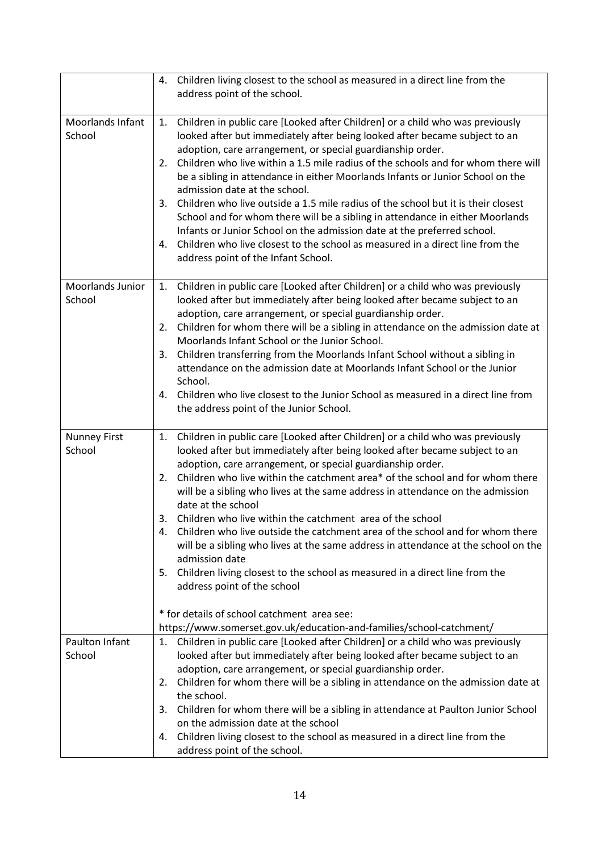|                               | 4. Children living closest to the school as measured in a direct line from the<br>address point of the school.                                                                                                                                                                                                                                                                                                                                                                                                                                                                                                                                                                                                                                                                                                                                                                                                                              |
|-------------------------------|---------------------------------------------------------------------------------------------------------------------------------------------------------------------------------------------------------------------------------------------------------------------------------------------------------------------------------------------------------------------------------------------------------------------------------------------------------------------------------------------------------------------------------------------------------------------------------------------------------------------------------------------------------------------------------------------------------------------------------------------------------------------------------------------------------------------------------------------------------------------------------------------------------------------------------------------|
| Moorlands Infant<br>School    | Children in public care [Looked after Children] or a child who was previously<br>1.<br>looked after but immediately after being looked after became subject to an<br>adoption, care arrangement, or special guardianship order.<br>Children who live within a 1.5 mile radius of the schools and for whom there will<br>2.<br>be a sibling in attendance in either Moorlands Infants or Junior School on the<br>admission date at the school.<br>Children who live outside a 1.5 mile radius of the school but it is their closest<br>3.<br>School and for whom there will be a sibling in attendance in either Moorlands<br>Infants or Junior School on the admission date at the preferred school.<br>4. Children who live closest to the school as measured in a direct line from the<br>address point of the Infant School.                                                                                                             |
| Moorlands Junior<br>School    | Children in public care [Looked after Children] or a child who was previously<br>1.<br>looked after but immediately after being looked after became subject to an<br>adoption, care arrangement, or special guardianship order.<br>2. Children for whom there will be a sibling in attendance on the admission date at<br>Moorlands Infant School or the Junior School.<br>Children transferring from the Moorlands Infant School without a sibling in<br>3.<br>attendance on the admission date at Moorlands Infant School or the Junior<br>School.<br>Children who live closest to the Junior School as measured in a direct line from<br>4.<br>the address point of the Junior School.                                                                                                                                                                                                                                                   |
| <b>Nunney First</b><br>School | Children in public care [Looked after Children] or a child who was previously<br>1.<br>looked after but immediately after being looked after became subject to an<br>adoption, care arrangement, or special guardianship order.<br>Children who live within the catchment area* of the school and for whom there<br>2.<br>will be a sibling who lives at the same address in attendance on the admission<br>date at the school<br>Children who live within the catchment area of the school<br>3.<br>Children who live outside the catchment area of the school and for whom there<br>4.<br>will be a sibling who lives at the same address in attendance at the school on the<br>admission date<br>Children living closest to the school as measured in a direct line from the<br>5.<br>address point of the school<br>* for details of school catchment area see:<br>https://www.somerset.gov.uk/education-and-families/school-catchment/ |
| Paulton Infant<br>School      | 1. Children in public care [Looked after Children] or a child who was previously<br>looked after but immediately after being looked after became subject to an<br>adoption, care arrangement, or special guardianship order.<br>Children for whom there will be a sibling in attendance on the admission date at<br>2.<br>the school.<br>3. Children for whom there will be a sibling in attendance at Paulton Junior School<br>on the admission date at the school<br>Children living closest to the school as measured in a direct line from the<br>4.<br>address point of the school.                                                                                                                                                                                                                                                                                                                                                    |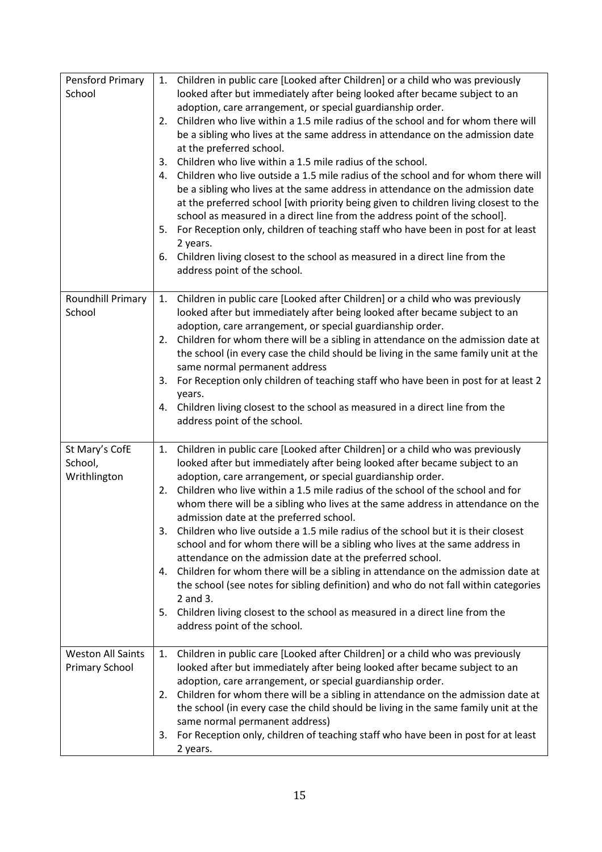| Pensford Primary         |                                                                            | 1. Children in public care [Looked after Children] or a child who was previously                               |
|--------------------------|----------------------------------------------------------------------------|----------------------------------------------------------------------------------------------------------------|
| School                   | looked after but immediately after being looked after became subject to an |                                                                                                                |
|                          |                                                                            | adoption, care arrangement, or special guardianship order.                                                     |
|                          | 2.                                                                         | Children who live within a 1.5 mile radius of the school and for whom there will                               |
|                          |                                                                            | be a sibling who lives at the same address in attendance on the admission date                                 |
|                          |                                                                            | at the preferred school.                                                                                       |
|                          | 3.                                                                         | Children who live within a 1.5 mile radius of the school.                                                      |
|                          | 4.                                                                         | Children who live outside a 1.5 mile radius of the school and for whom there will                              |
|                          |                                                                            | be a sibling who lives at the same address in attendance on the admission date                                 |
|                          |                                                                            | at the preferred school [with priority being given to children living closest to the                           |
|                          |                                                                            | school as measured in a direct line from the address point of the school].                                     |
|                          |                                                                            | 5. For Reception only, children of teaching staff who have been in post for at least                           |
|                          |                                                                            | 2 years.                                                                                                       |
|                          |                                                                            | 6. Children living closest to the school as measured in a direct line from the                                 |
|                          |                                                                            | address point of the school.                                                                                   |
|                          |                                                                            |                                                                                                                |
| Roundhill Primary        | 1.                                                                         | Children in public care [Looked after Children] or a child who was previously                                  |
| School                   |                                                                            | looked after but immediately after being looked after became subject to an                                     |
|                          |                                                                            | adoption, care arrangement, or special guardianship order.                                                     |
|                          | 2.                                                                         | Children for whom there will be a sibling in attendance on the admission date at                               |
|                          |                                                                            | the school (in every case the child should be living in the same family unit at the                            |
|                          |                                                                            | same normal permanent address                                                                                  |
|                          | 3.                                                                         | For Reception only children of teaching staff who have been in post for at least 2                             |
|                          |                                                                            | years.                                                                                                         |
|                          |                                                                            | 4. Children living closest to the school as measured in a direct line from the<br>address point of the school. |
|                          |                                                                            |                                                                                                                |
| St Mary's CofE           | 1.                                                                         | Children in public care [Looked after Children] or a child who was previously                                  |
| School,                  |                                                                            | looked after but immediately after being looked after became subject to an                                     |
| Writhlington             |                                                                            | adoption, care arrangement, or special guardianship order.                                                     |
|                          | 2.                                                                         | Children who live within a 1.5 mile radius of the school of the school and for                                 |
|                          |                                                                            | whom there will be a sibling who lives at the same address in attendance on the                                |
|                          |                                                                            | admission date at the preferred school.                                                                        |
|                          |                                                                            | 3. Children who live outside a 1.5 mile radius of the school but it is their closest                           |
|                          |                                                                            | school and for whom there will be a sibling who lives at the same address in                                   |
|                          |                                                                            | attendance on the admission date at the preferred school.                                                      |
|                          | 4.                                                                         | Children for whom there will be a sibling in attendance on the admission date at                               |
|                          |                                                                            | the school (see notes for sibling definition) and who do not fall within categories                            |
|                          |                                                                            | 2 and 3.                                                                                                       |
|                          | 5.                                                                         | Children living closest to the school as measured in a direct line from the                                    |
|                          |                                                                            | address point of the school.                                                                                   |
|                          |                                                                            |                                                                                                                |
| <b>Weston All Saints</b> | 1.                                                                         | Children in public care [Looked after Children] or a child who was previously                                  |
| Primary School           |                                                                            | looked after but immediately after being looked after became subject to an                                     |
|                          |                                                                            | adoption, care arrangement, or special guardianship order.                                                     |
|                          |                                                                            | 2. Children for whom there will be a sibling in attendance on the admission date at                            |
|                          |                                                                            |                                                                                                                |
|                          |                                                                            | the school (in every case the child should be living in the same family unit at the                            |
|                          |                                                                            | same normal permanent address)                                                                                 |
|                          | 3.                                                                         | For Reception only, children of teaching staff who have been in post for at least<br>2 years.                  |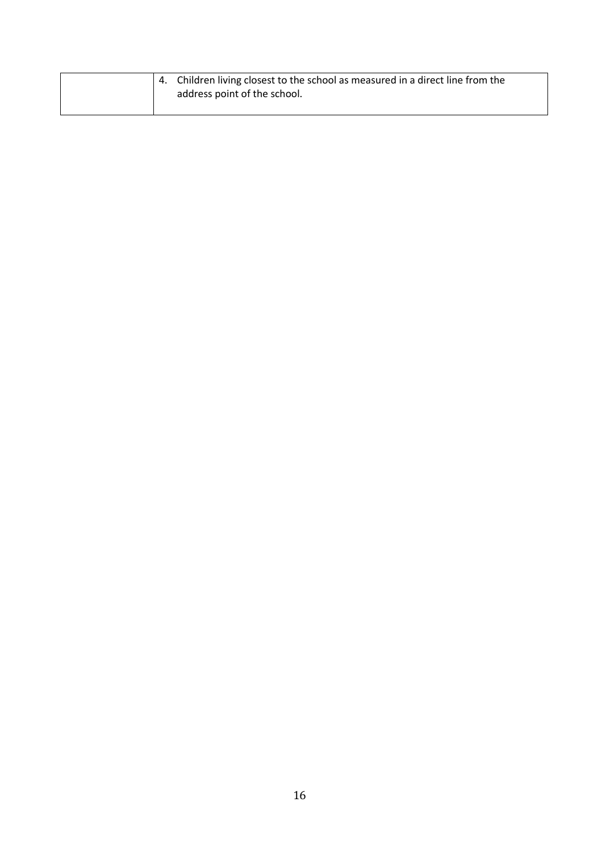|  | 4. Children living closest to the school as measured in a direct line from the<br>address point of the school. |
|--|----------------------------------------------------------------------------------------------------------------|
|  |                                                                                                                |